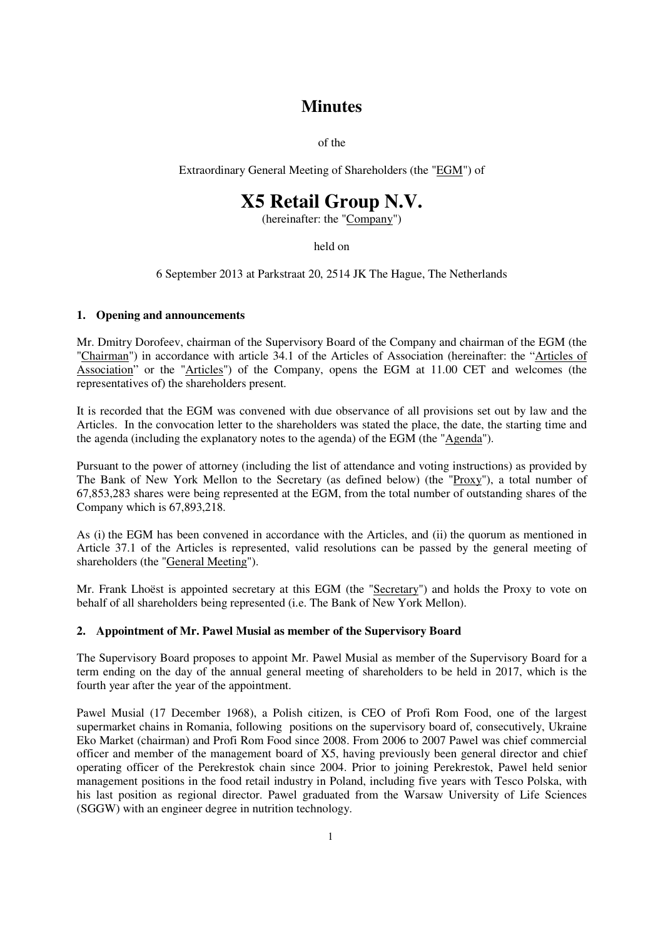# **Minutes**

of the

Extraordinary General Meeting of Shareholders (the "EGM") of

# **X5 Retail Group N.V.**

(hereinafter: the "Company")

held on

6 September 2013 at Parkstraat 20, 2514 JK The Hague, The Netherlands

### **1. Opening and announcements**

Mr. Dmitry Dorofeev, chairman of the Supervisory Board of the Company and chairman of the EGM (the "Chairman") in accordance with article 34.1 of the Articles of Association (hereinafter: the "Articles of Association" or the "Articles") of the Company, opens the EGM at 11.00 CET and welcomes (the representatives of) the shareholders present.

It is recorded that the EGM was convened with due observance of all provisions set out by law and the Articles. In the convocation letter to the shareholders was stated the place, the date, the starting time and the agenda (including the explanatory notes to the agenda) of the EGM (the "Agenda").

Pursuant to the power of attorney (including the list of attendance and voting instructions) as provided by The Bank of New York Mellon to the Secretary (as defined below) (the "Proxy"), a total number of 67,853,283 shares were being represented at the EGM, from the total number of outstanding shares of the Company which is 67,893,218.

As (i) the EGM has been convened in accordance with the Articles, and (ii) the quorum as mentioned in Article 37.1 of the Articles is represented, valid resolutions can be passed by the general meeting of shareholders (the "General Meeting").

Mr. Frank Lhoëst is appointed secretary at this EGM (the "Secretary") and holds the Proxy to vote on behalf of all shareholders being represented (i.e. The Bank of New York Mellon).

## **2. Appointment of Mr. Pawel Musial as member of the Supervisory Board**

The Supervisory Board proposes to appoint Mr. Pawel Musial as member of the Supervisory Board for a term ending on the day of the annual general meeting of shareholders to be held in 2017, which is the fourth year after the year of the appointment.

Pawel Musial (17 December 1968), a Polish citizen, is CEO of Profi Rom Food, one of the largest supermarket chains in Romania, following positions on the supervisory board of, consecutively, Ukraine Eko Market (chairman) and Profi Rom Food since 2008. From 2006 to 2007 Pawel was chief commercial officer and member of the management board of X5, having previously been general director and chief operating officer of the Perekrestok chain since 2004. Prior to joining Perekrestok, Pawel held senior management positions in the food retail industry in Poland, including five years with Tesco Polska, with his last position as regional director. Pawel graduated from the Warsaw University of Life Sciences (SGGW) with an engineer degree in nutrition technology.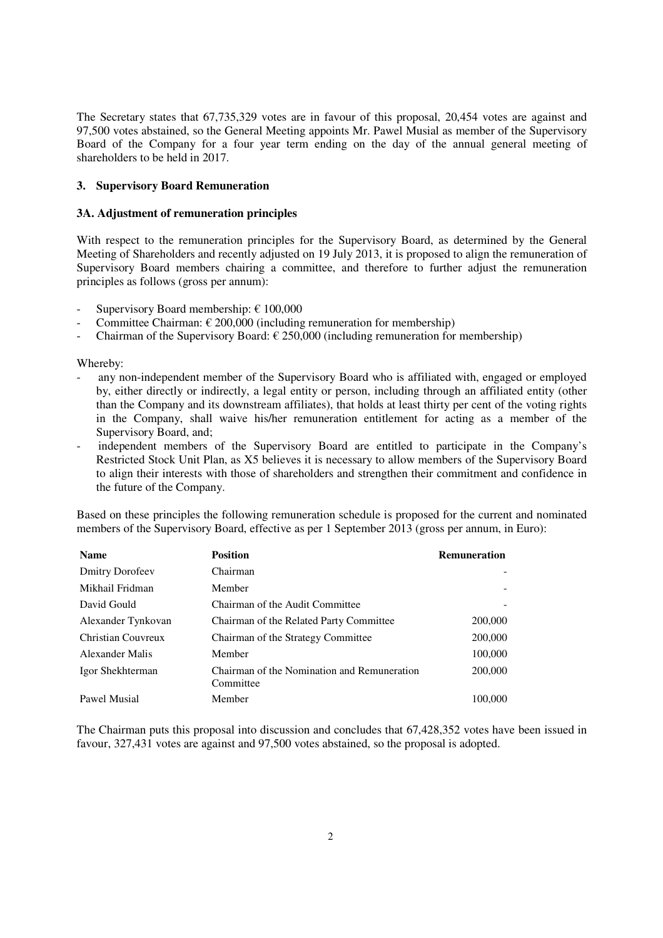The Secretary states that 67,735,329 votes are in favour of this proposal, 20,454 votes are against and 97,500 votes abstained, so the General Meeting appoints Mr. Pawel Musial as member of the Supervisory Board of the Company for a four year term ending on the day of the annual general meeting of shareholders to be held in 2017.

### **3. Supervisory Board Remuneration**

#### **3A. Adjustment of remuneration principles**

With respect to the remuneration principles for the Supervisory Board, as determined by the General Meeting of Shareholders and recently adjusted on 19 July 2013, it is proposed to align the remuneration of Supervisory Board members chairing a committee, and therefore to further adjust the remuneration principles as follows (gross per annum):

- Supervisory Board membership:  $\epsilon$  100,000
- Committee Chairman:  $\epsilon$  200,000 (including remuneration for membership)
- Chairman of the Supervisory Board:  $\epsilon$  250,000 (including remuneration for membership)

Whereby:

- any non-independent member of the Supervisory Board who is affiliated with, engaged or employed by, either directly or indirectly, a legal entity or person, including through an affiliated entity (other than the Company and its downstream affiliates), that holds at least thirty per cent of the voting rights in the Company, shall waive his/her remuneration entitlement for acting as a member of the Supervisory Board, and;
- independent members of the Supervisory Board are entitled to participate in the Company's Restricted Stock Unit Plan, as X5 believes it is necessary to allow members of the Supervisory Board to align their interests with those of shareholders and strengthen their commitment and confidence in the future of the Company.

Based on these principles the following remuneration schedule is proposed for the current and nominated members of the Supervisory Board, effective as per 1 September 2013 (gross per annum, in Euro):

| <b>Name</b>            | <b>Position</b>                                          | <b>Remuneration</b> |
|------------------------|----------------------------------------------------------|---------------------|
| <b>Dmitry Dorofeev</b> | Chairman                                                 |                     |
| Mikhail Fridman        | Member                                                   |                     |
| David Gould            | Chairman of the Audit Committee                          |                     |
| Alexander Tynkovan     | Chairman of the Related Party Committee                  | 200,000             |
| Christian Couvreux     | Chairman of the Strategy Committee                       | 200,000             |
| Alexander Malis        | Member                                                   | 100,000             |
| Igor Shekhterman       | Chairman of the Nomination and Remuneration<br>Committee | 200,000             |
| Pawel Musial           | Member                                                   | 100,000             |

The Chairman puts this proposal into discussion and concludes that 67,428,352 votes have been issued in favour, 327,431 votes are against and 97,500 votes abstained, so the proposal is adopted.